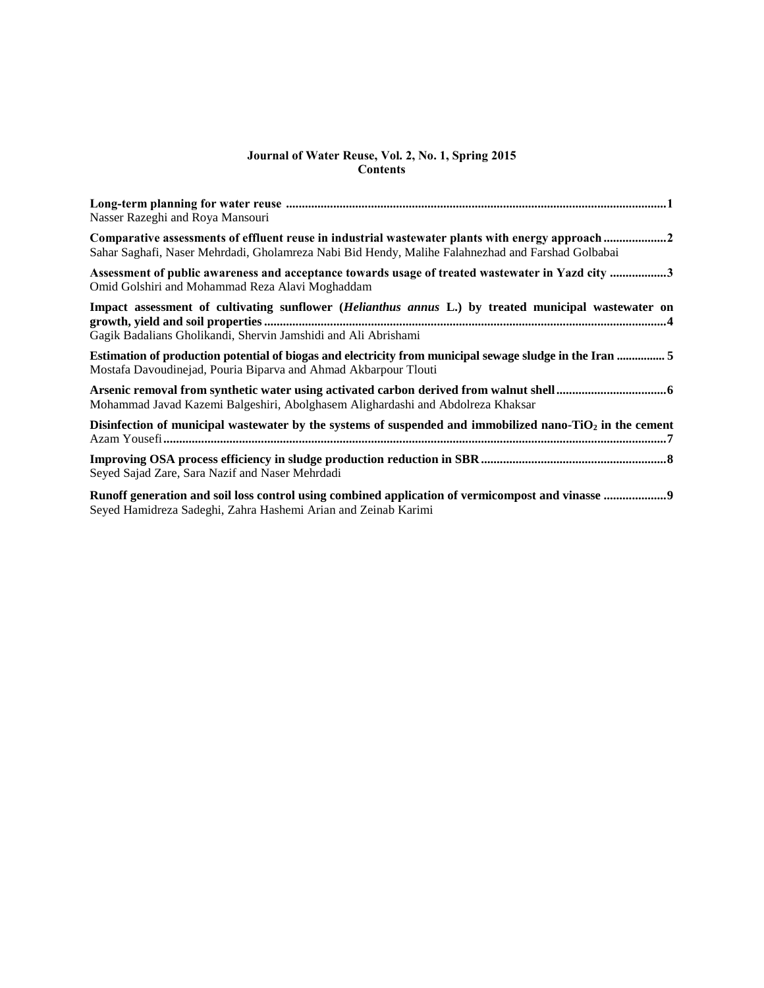#### **Journal of Water Reuse, Vol. 2, No. 1, Spring 2015 Contents**

| Nasser Razeghi and Roya Mansouri                                                                                                                                                                      |
|-------------------------------------------------------------------------------------------------------------------------------------------------------------------------------------------------------|
| Comparative assessments of effluent reuse in industrial wastewater plants with energy approach 2<br>Sahar Saghafi, Naser Mehrdadi, Gholamreza Nabi Bid Hendy, Malihe Falahnezhad and Farshad Golbabai |
| Assessment of public awareness and acceptance towards usage of treated wastewater in Yazd city 3<br>Omid Golshiri and Mohammad Reza Alavi Moghaddam                                                   |
| Impact assessment of cultivating sunflower (Helianthus annus L.) by treated municipal wastewater on<br>Gagik Badalians Gholikandi, Shervin Jamshidi and Ali Abrishami                                 |
| Estimation of production potential of biogas and electricity from municipal sewage sludge in the Iran  5<br>Mostafa Davoudinejad, Pouria Biparva and Ahmad Akbarpour Tlouti                           |
| Mohammad Javad Kazemi Balgeshiri, Abolghasem Alighardashi and Abdolreza Khaksar                                                                                                                       |
| Disinfection of municipal wastewater by the systems of suspended and immobilized nano- $TiO2$ in the cement                                                                                           |
| Seyed Sajad Zare, Sara Nazif and Naser Mehrdadi                                                                                                                                                       |
| Seyed Hamidreza Sadeghi, Zahra Hashemi Arian and Zeinab Karimi                                                                                                                                        |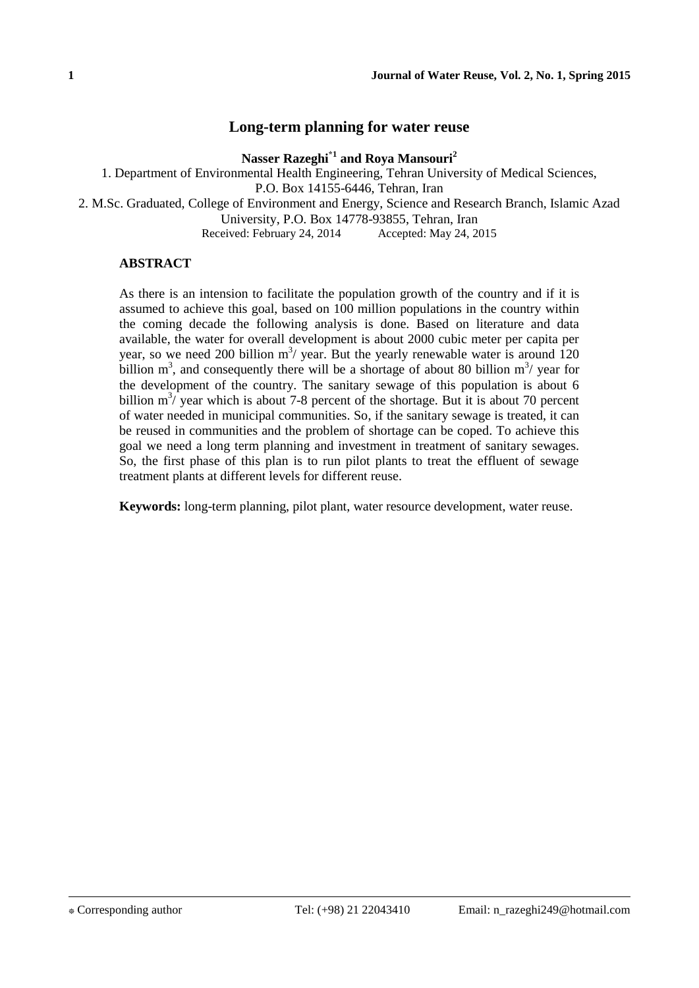# **Long-term planning for water reuse**

**Nasser Razeghi\*1 and Roya Mansouri<sup>2</sup>**

1. Department of Environmental Health Engineering, Tehran University of Medical Sciences,

P.O. Box 14155-6446, Tehran, Iran

2. M.Sc. Graduated, College of Environment and Energy, Science and Research Branch, Islamic Azad

University, P.O. Box 14778-93855, Tehran, Iran

Received: February 24, 2014 Accepted: May 24, 2015

## **ABSTRACT**

As there is an intension to facilitate the population growth of the country and if it is assumed to achieve this goal, based on 100 million populations in the country within the coming decade the following analysis is done. Based on literature and data available, the water for overall development is about 2000 cubic meter per capita per year, so we need 200 billion  $m^3$  year. But the yearly renewable water is around 120 billion  $m^3$ , and consequently there will be a shortage of about 80 billion  $m^3$ / year for the development of the country. The sanitary sewage of this population is about 6 billion  $m^3$ / year which is about 7-8 percent of the shortage. But it is about 70 percent of water needed in municipal communities. So, if the sanitary sewage is treated, it can be reused in communities and the problem of shortage can be coped. To achieve this goal we need a long term planning and investment in treatment of sanitary sewages. So, the first phase of this plan is to run pilot plants to treat the effluent of sewage treatment plants at different levels for different reuse.

**Keywords:** long-term planning, pilot plant, water resource development, water reuse.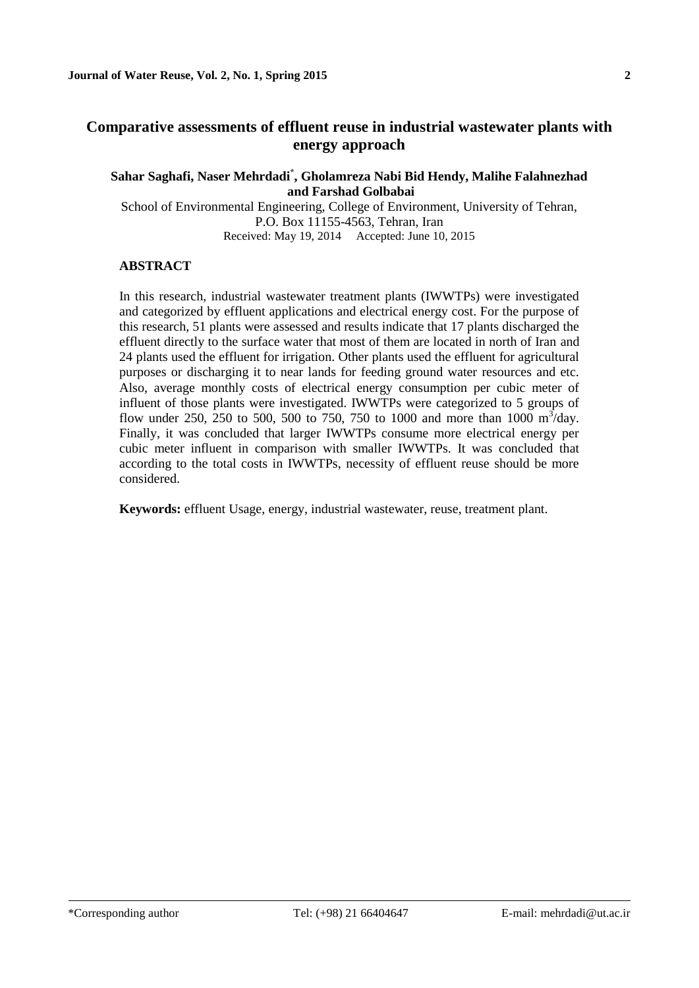## **Sahar Saghafi, Naser Mehrdadi\* , Gholamreza Nabi Bid Hendy, Malihe Falahnezhad and Farshad Golbabai**

School of Environmental Engineering, College of Environment, University of Tehran, P.O. Box 11155-4563, Tehran, Iran Received: May 19, 2014 Accepted: June 10, 2015

## **ABSTRACT**

In this research, industrial wastewater treatment plants (IWWTPs) were investigated and categorized by effluent applications and electrical energy cost. For the purpose of this research, 51 plants were assessed and results indicate that 17 plants discharged the effluent directly to the surface water that most of them are located in north of Iran and 24 plants used the effluent for irrigation. Other plants used the effluent for agricultural purposes or discharging it to near lands for feeding ground water resources and etc. Also, average monthly costs of electrical energy consumption per cubic meter of influent of those plants were investigated. IWWTPs were categorized to 5 groups of flow under 250, 250 to 500, 500 to 750, 750 to 1000 and more than 1000  $\text{m}^3/\text{day}$ . Finally, it was concluded that larger IWWTPs consume more electrical energy per cubic meter influent in comparison with smaller IWWTPs. It was concluded that according to the total costs in IWWTPs, necessity of effluent reuse should be more considered.

**Keywords:** effluent Usage, energy, industrial wastewater, reuse, treatment plant.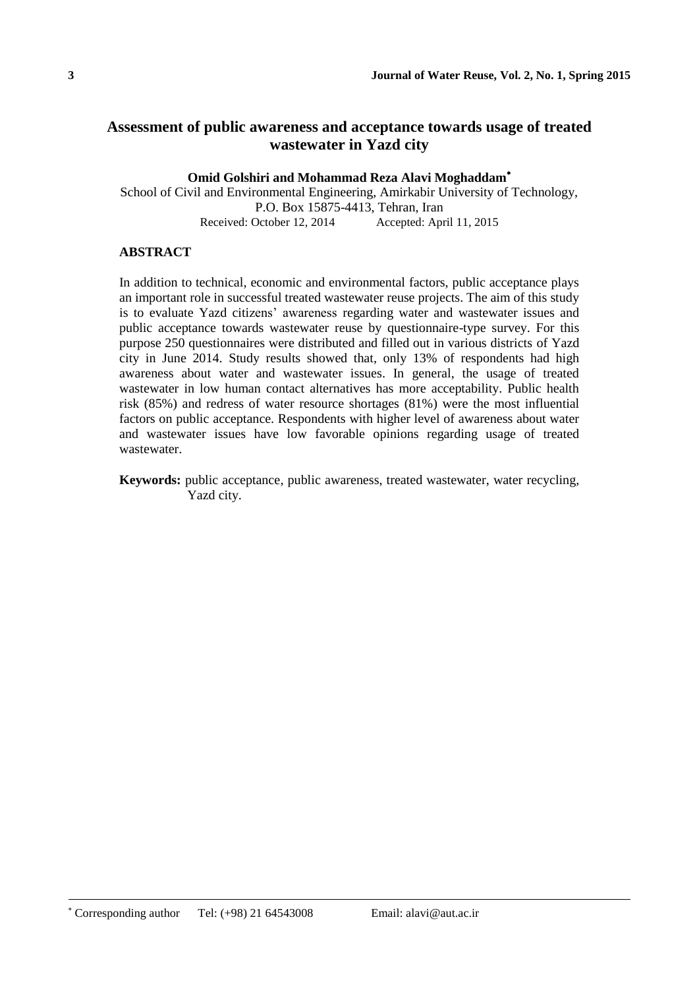# **Assessment of public awareness and acceptance towards usage of treated wastewater in Yazd city**

**Omid Golshiri and Mohammad Reza Alavi Moghaddam**

School of Civil and Environmental Engineering, Amirkabir University of Technology, P.O. Box 15875-4413, Tehran, Iran<br>Received: October 12, 2014 Accepted: Apr Accepted: April 11, 2015

## **ABSTRACT**

In addition to technical, economic and environmental factors, public acceptance plays an important role in successful treated wastewater reuse projects. The aim of this study is to evaluate Yazd citizens' awareness regarding water and wastewater issues and public acceptance towards wastewater reuse by questionnaire-type survey. For this purpose 250 questionnaires were distributed and filled out in various districts of Yazd city in June 2014. Study results showed that, only 13% of respondents had high awareness about water and wastewater issues. In general, the usage of treated wastewater in low human contact alternatives has more acceptability. Public health risk (85%) and redress of water resource shortages (81%) were the most influential factors on public acceptance. Respondents with higher level of awareness about water and wastewater issues have low favorable opinions regarding usage of treated wastewater.

**Keywords:** public acceptance, public awareness, treated wastewater, water recycling, Yazd city.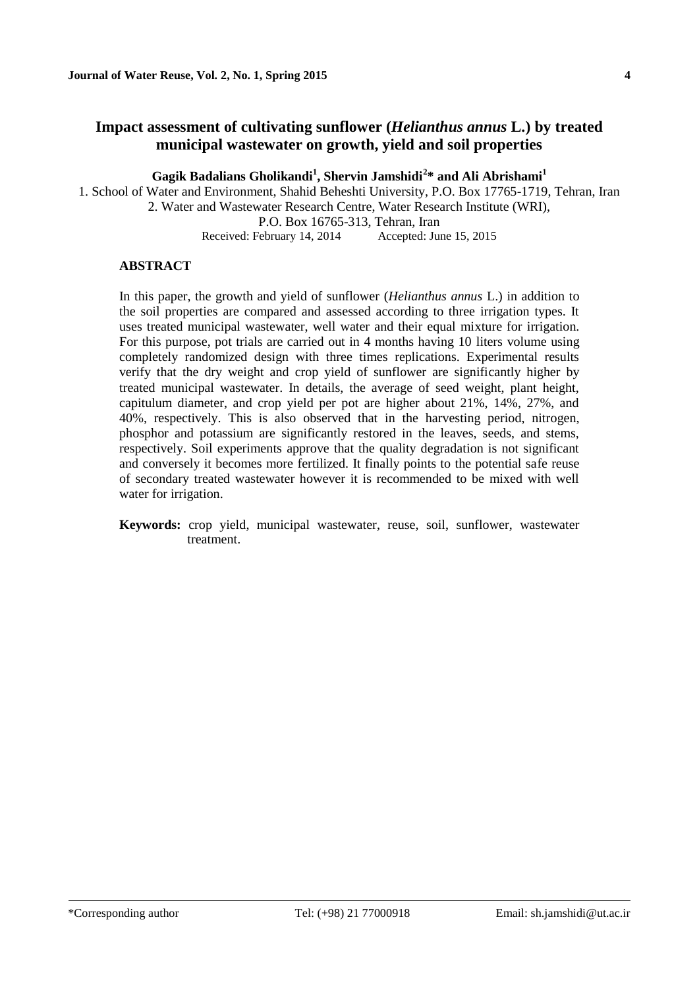# **Impact assessment of cultivating sunflower (***Helianthus annus* **L.) by treated municipal wastewater on growth, yield and soil properties**

**Gagik Badalians Gholikandi<sup>1</sup> , Shervin Jamshidi**<sup>1</sup> **2 \* and Ali Abrishami<sup>1</sup>**

1. School of Water and Environment, Shahid Beheshti University, P.O. Box 17765-1719, Tehran, Iran 2. Water and Wastewater Research Centre, Water Research Institute (WRI),

P.O. Box 16765-313, Tehran, Iran

Received: February 14, 2014 Accepted: June 15, 2015

### **ABSTRACT**

In this paper, the growth and yield of sunflower (*Helianthus annus* L.) in addition to the soil properties are compared and assessed according to three irrigation types. It uses treated municipal wastewater, well water and their equal mixture for irrigation. For this purpose, pot trials are carried out in 4 months having 10 liters volume using completely randomized design with three times replications. Experimental results verify that the dry weight and crop yield of sunflower are significantly higher by treated municipal wastewater. In details, the average of seed weight, plant height, capitulum diameter, and crop yield per pot are higher about 21%, 14%, 27%, and 40%, respectively. This is also observed that in the harvesting period, nitrogen, phosphor and potassium are significantly restored in the leaves, seeds, and stems, respectively. Soil experiments approve that the quality degradation is not significant and conversely it becomes more fertilized. It finally points to the potential safe reuse of secondary treated wastewater however it is recommended to be mixed with well water for irrigation.

**Keywords:** crop yield, municipal wastewater, reuse, soil, sunflower, wastewater treatment.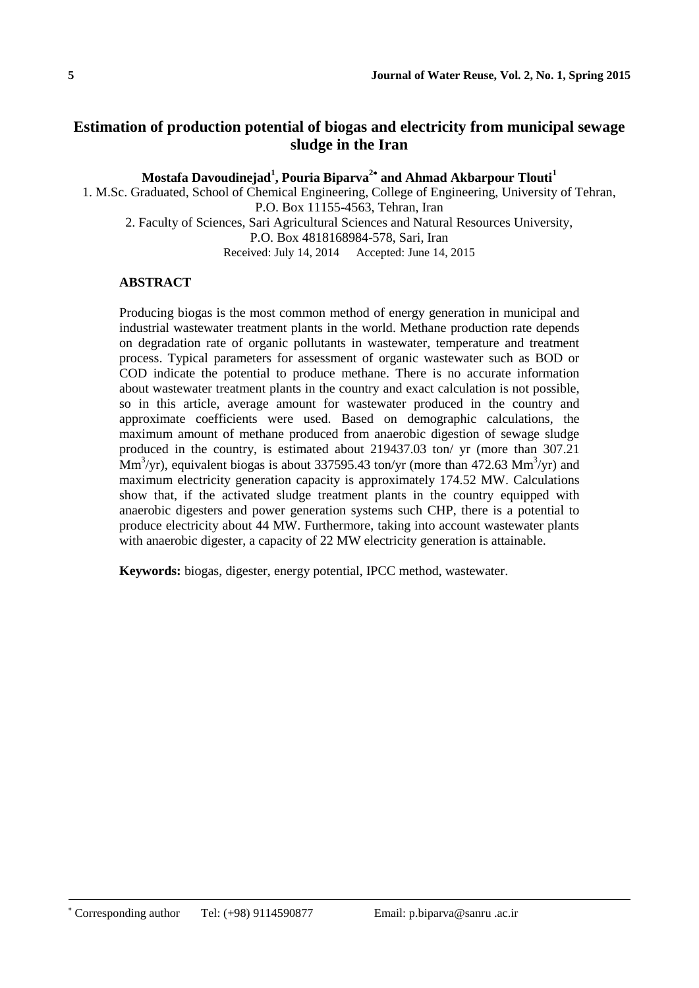# **Estimation of production potential of biogas and electricity from municipal sewage sludge in the Iran**

**Mostafa Davoudinejad<sup>1</sup> , Pouria Biparva<sup>2</sup> and Ahmad Akbarpour Tlouti<sup>1</sup>**

1. M.Sc. Graduated, School of Chemical Engineering, College of Engineering, University of Tehran, P.O. Box 11155-4563, Tehran, Iran 2. Faculty of Sciences, Sari Agricultural Sciences and Natural Resources University, P.O. Box 4818168984-578, Sari, Iran

Received: July 14, 2014 Accepted: June 14, 2015

## **ABSTRACT**

Producing biogas is the most common method of energy generation in municipal and industrial wastewater treatment plants in the world. Methane production rate depends on degradation rate of organic pollutants in wastewater, temperature and treatment process. Typical parameters for assessment of organic wastewater such as BOD or COD indicate the potential to produce methane. There is no accurate information about wastewater treatment plants in the country and exact calculation is not possible, so in this article, average amount for wastewater produced in the country and approximate coefficients were used. Based on demographic calculations, the maximum amount of methane produced from anaerobic digestion of sewage sludge produced in the country, is estimated about 219437.03 ton/ yr (more than 307.21  $\text{Mm}^3/\text{yr}$ , equivalent biogas is about 337595.43 ton/yr (more than 472.63  $\text{Mm}^3/\text{yr}$ ) and maximum electricity generation capacity is approximately 174.52 MW. Calculations show that, if the activated sludge treatment plants in the country equipped with anaerobic digesters and power generation systems such CHP, there is a potential to produce electricity about 44 MW. Furthermore, taking into account wastewater plants with anaerobic digester, a capacity of 22 MW electricity generation is attainable.

**Keywords:** biogas, digester, energy potential, IPCC method, wastewater.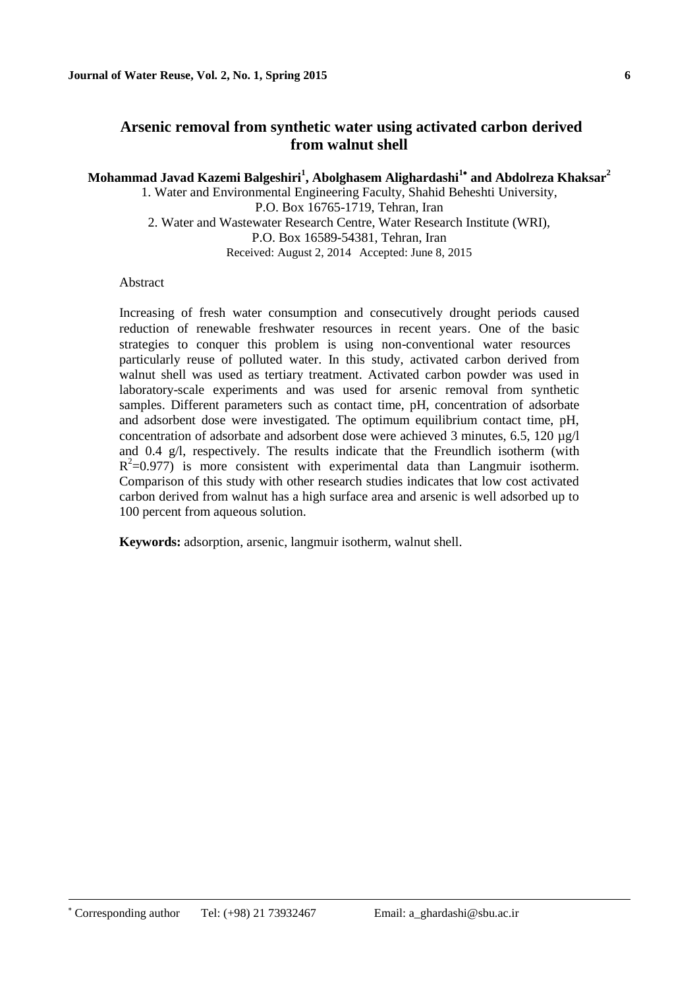# **Arsenic removal from synthetic water using activated carbon derived from walnut shell**

**Mohammad Javad Kazemi Balgeshiri<sup>1</sup> , Abolghasem Alighardashi<sup>1</sup> and Abdolreza Khaksar<sup>2</sup>**

1. Water and Environmental Engineering Faculty, Shahid Beheshti University, P.O. Box 16765-1719, Tehran, Iran 2. Water and Wastewater Research Centre, Water Research Institute (WRI), P.O. Box 16589-54381, Tehran, Iran Received: August 2, 2014 Accepted: June 8, 2015

#### Abstract

Increasing of fresh water consumption and consecutively drought periods caused reduction of renewable freshwater resources in recent years. One of the basic strategies to conquer this problem is using non-conventional water resources particularly reuse of polluted water. In this study, activated carbon derived from walnut shell was used as tertiary treatment. Activated carbon powder was used in laboratory-scale experiments and was used for arsenic removal from synthetic samples. Different parameters such as contact time, pH, concentration of adsorbate and adsorbent dose were investigated. The optimum equilibrium contact time, pH, concentration of adsorbate and adsorbent dose were achieved 3 minutes,  $6.5$ ,  $120 \text{ u}g/l$ and 0.4 g/l, respectively. The results indicate that the Freundlich isotherm (with  $R^2=0.977$ ) is more consistent with experimental data than Langmuir isotherm. Comparison of this study with other research studies indicates that low cost activated carbon derived from walnut has a high surface area and arsenic is well adsorbed up to 100 percent from aqueous solution.

**Keywords:** adsorption, arsenic, langmuir isotherm, walnut shell.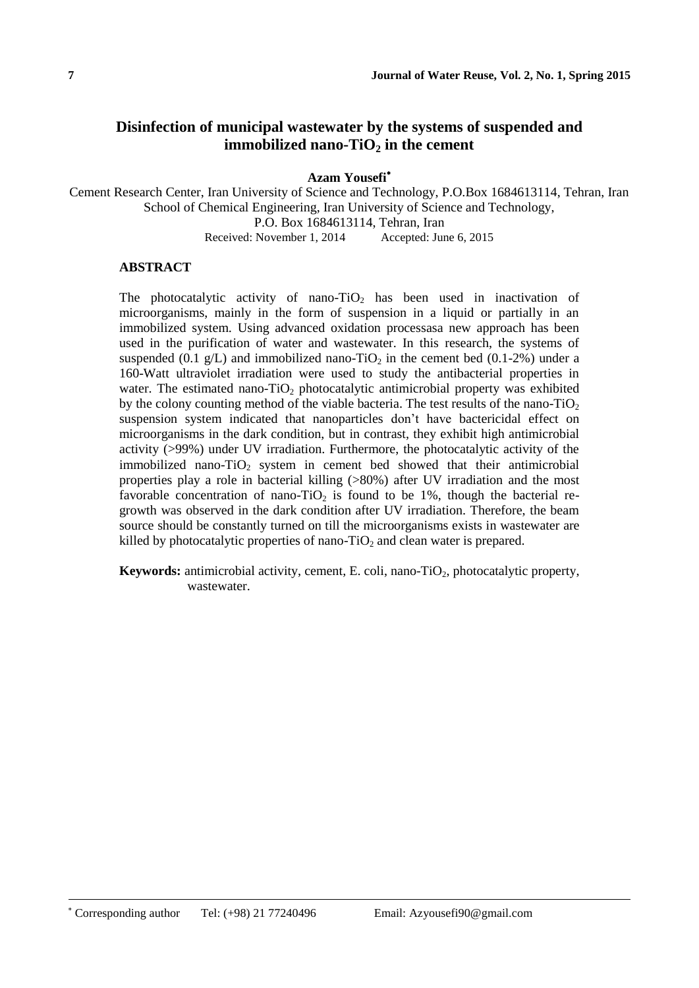# **Disinfection of municipal wastewater by the systems of suspended and immobilized nano-TiO** $_2$  **in the cement**

**Azam Yousefi**

Cement Research Center, Iran University of Science and Technology, P.O.Box 1684613114, Tehran, Iran School of Chemical Engineering, Iran University of Science and Technology, P.O. Box 1684613114, Tehran, Iran Received: November 1, 2014 Accepted: June 6, 2015

#### **ABSTRACT**

The photocatalytic activity of nano-TiO<sub>2</sub> has been used in inactivation of microorganisms, mainly in the form of suspension in a liquid or partially in an immobilized system. Using advanced oxidation processasa new approach has been used in the purification of water and wastewater. In this research, the systems of suspended (0.1  $g/L$ ) and immobilized nano-TiO<sub>2</sub> in the cement bed (0.1-2%) under a 160-Watt ultraviolet irradiation were used to study the antibacterial properties in water. The estimated nano-TiO<sub>2</sub> photocatalytic antimicrobial property was exhibited by the colony counting method of the viable bacteria. The test results of the nano- $TiO<sub>2</sub>$ suspension system indicated that nanoparticles don't have bactericidal effect on microorganisms in the dark condition, but in contrast, they exhibit high antimicrobial activity (>99%) under UV irradiation. Furthermore, the photocatalytic activity of the immobilized nano-TiO<sub>2</sub> system in cement bed showed that their antimicrobial properties play a role in bacterial killing (>80%) after UV irradiation and the most favorable concentration of nano-TiO<sub>2</sub> is found to be 1%, though the bacterial regrowth was observed in the dark condition after UV irradiation. Therefore, the beam source should be constantly turned on till the microorganisms exists in wastewater are killed by photocatalytic properties of nano- $TiO<sub>2</sub>$  and clean water is prepared.

**Keywords:** antimicrobial activity, cement, E. coli, nano-TiO<sub>2</sub>, photocatalytic property, wastewater.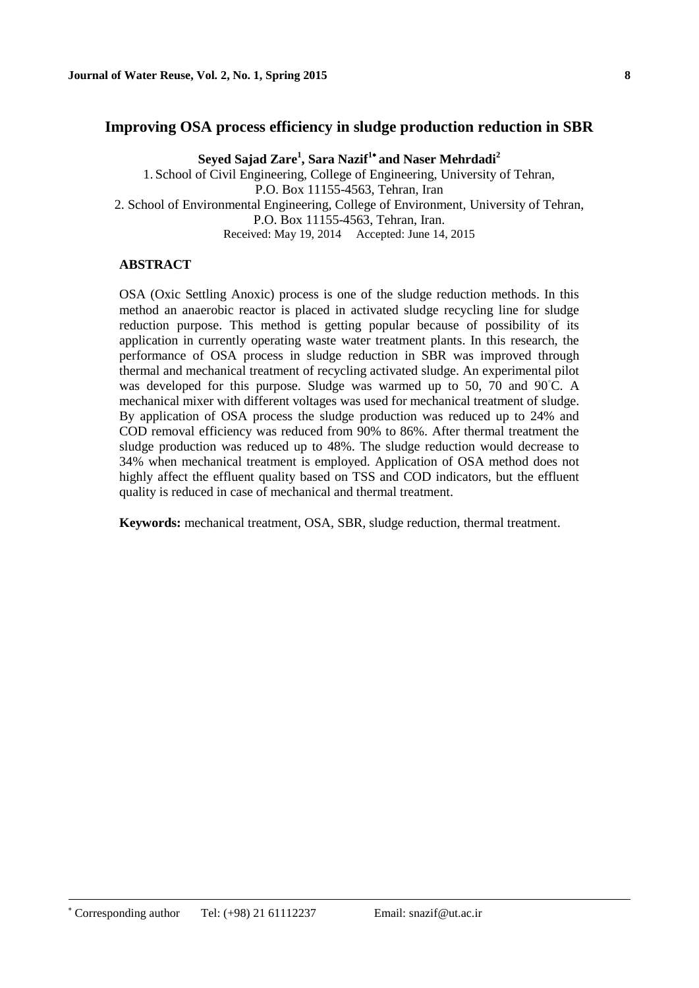## **Improving OSA process efficiency in sludge production reduction in SBR**

**Seyed Sajad Zare<sup>1</sup> , Sara Nazif<sup>1</sup> and Naser Mehrdadi<sup>2</sup>** 1. School of Civil Engineering, College of Engineering, University of Tehran, P.O. Box 11155-4563, Tehran, Iran 2. School of Environmental Engineering, College of Environment, University of Tehran, P.O. Box 11155-4563, Tehran, Iran. Received: May 19, 2014 Accepted: June 14, 2015

### **ABSTRACT**

OSA (Oxic Settling Anoxic) process is one of the sludge reduction methods. In this method an anaerobic reactor is placed in activated sludge recycling line for sludge reduction purpose. This method is getting popular because of possibility of its application in currently operating waste water treatment plants. In this research, the performance of OSA process in sludge reduction in SBR was improved through thermal and mechanical treatment of recycling activated sludge. An experimental pilot was developed for this purpose. Sludge was warmed up to 50, 70 and 90<sup>°</sup>C. A mechanical mixer with different voltages was used for mechanical treatment of sludge. By application of OSA process the sludge production was reduced up to 24% and COD removal efficiency was reduced from 90% to 86%. After thermal treatment the sludge production was reduced up to 48%. The sludge reduction would decrease to 34% when mechanical treatment is employed. Application of OSA method does not highly affect the effluent quality based on TSS and COD indicators, but the effluent quality is reduced in case of mechanical and thermal treatment.

**Keywords:** mechanical treatment, OSA, SBR, sludge reduction, thermal treatment.